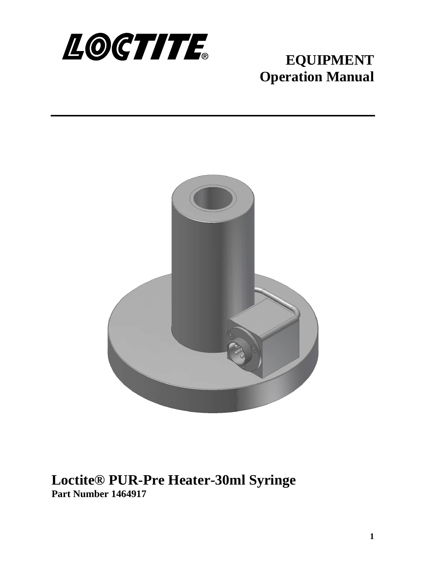

# **EQUIPMENT Operation Manual**



**Loctite® PUR-Pre Heater-30ml Syringe Part Number 1464917**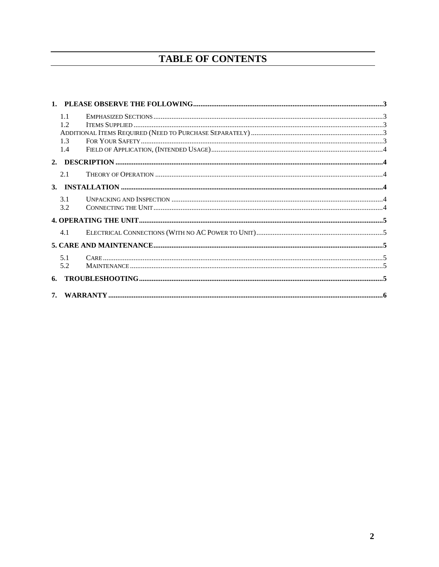# **TABLE OF CONTENTS**

|  | 1.1 |  |  |  |  |
|--|-----|--|--|--|--|
|  | 12  |  |  |  |  |
|  |     |  |  |  |  |
|  | 1.3 |  |  |  |  |
|  | 1.4 |  |  |  |  |
|  |     |  |  |  |  |
|  | 2.1 |  |  |  |  |
|  |     |  |  |  |  |
|  | 3.1 |  |  |  |  |
|  | 3.2 |  |  |  |  |
|  |     |  |  |  |  |
|  | 4.1 |  |  |  |  |
|  |     |  |  |  |  |
|  | 5.1 |  |  |  |  |
|  | 5.2 |  |  |  |  |
|  |     |  |  |  |  |
|  |     |  |  |  |  |
|  |     |  |  |  |  |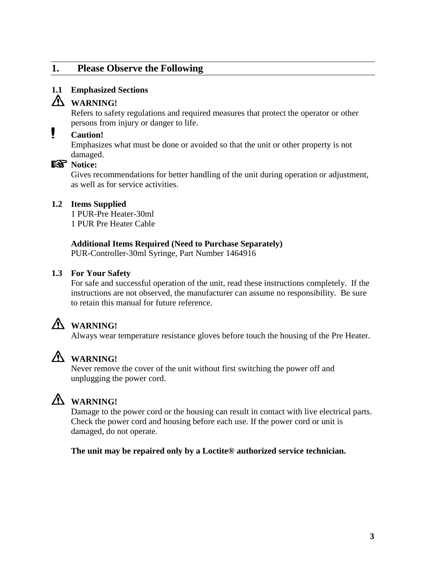# <span id="page-2-0"></span>**1. Please Observe the Following**

### <span id="page-2-1"></span>**1.1 Emphasized Sections**

# **WARNING!**

Refers to safety regulations and required measures that protect the operator or other persons from injury or danger to life.

#### Ł **Caution!**

Emphasizes what must be done or avoided so that the unit or other property is not damaged.

## **Notice:**

Gives recommendations for better handling of the unit during operation or adjustment, as well as for service activities.

### <span id="page-2-2"></span>**1.2 Items Supplied**

1 PUR-Pre Heater-30ml 1 PUR Pre Heater Cable

### <span id="page-2-3"></span>**Additional Items Required (Need to Purchase Separately)**

PUR-Controller-30ml Syringe, Part Number 1464916

### <span id="page-2-4"></span>**1.3 For Your Safety**

For safe and successful operation of the unit, read these instructions completely. If the instructions are not observed, the manufacturer can assume no responsibility. Be sure to retain this manual for future reference.

# **WARNING!**

Always wear temperature resistance gloves before touch the housing of the Pre Heater.

# **WARNING!**

Never remove the cover of the unit without first switching the power off and unplugging the power cord.



# **WARNING!**

Damage to the power cord or the housing can result in contact with live electrical parts. Check the power cord and housing before each use. If the power cord or unit is damaged, do not operate.

### **The unit may be repaired only by a Loctite® authorized service technician.**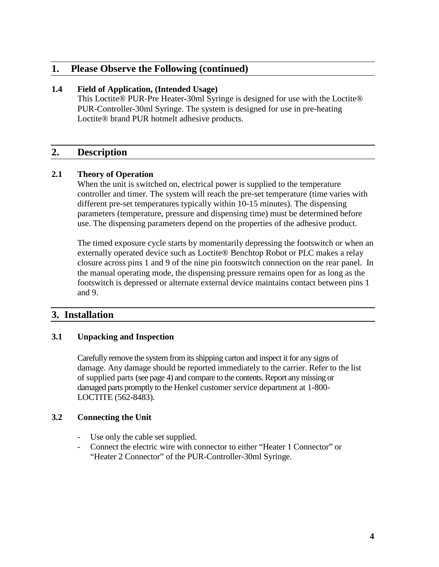## **1. Please Observe the Following (continued)**

#### <span id="page-3-0"></span>**1.4 Field of Application, (Intended Usage)**

This Loctite® PUR-Pre Heater-30ml Syringe is designed for use with the Loctite® PUR-Controller-30ml Syringe. The system is designed for use in pre-heating Loctite® brand PUR hotmelt adhesive products.

## <span id="page-3-1"></span>**2. Description**

### <span id="page-3-2"></span>**2.1 Theory of Operation**

When the unit is switched on, electrical power is supplied to the temperature controller and timer. The system will reach the pre-set temperature (time varies with different pre-set temperatures typically within 10-15 minutes). The dispensing parameters (temperature, pressure and dispensing time) must be determined before use. The dispensing parameters depend on the properties of the adhesive product.

The timed exposure cycle starts by momentarily depressing the footswitch or when an externally operated device such as Loctite® Benchtop Robot or PLC makes a relay closure across pins 1 and 9 of the nine pin footswitch connection on the rear panel. In the manual operating mode, the dispensing pressure remains open for as long as the footswitch is depressed or alternate external device maintains contact between pins 1 and 9.

# <span id="page-3-3"></span>**3. Installation**

### <span id="page-3-4"></span>**3.1 Unpacking and Inspection**

Carefully remove the system from its shipping carton and inspect it for any signs of damage. Any damage should be reported immediately to the carrier. Refer to the list of supplied parts (see page 4) and compare to the contents. Report any missing or damaged parts promptly to the Henkel customer service department at 1-800- LOCTITE (562-8483).

### <span id="page-3-5"></span>**3.2 Connecting the Unit**

- Use only the cable set supplied.
- Connect the electric wire with connector to either "Heater 1 Connector"or "Heater 2 Connector" of the PUR-Controller-30ml Syringe.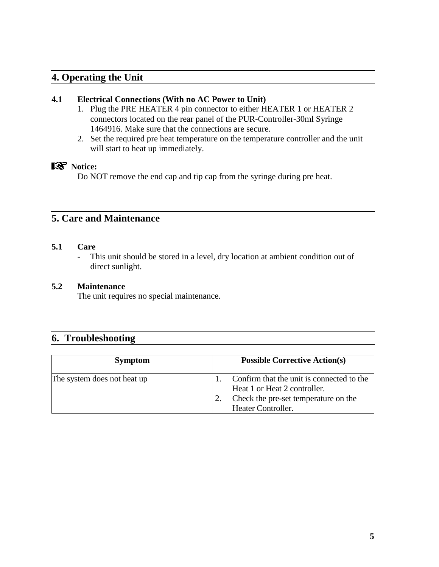# <span id="page-4-0"></span>**4. Operating the Unit**

#### <span id="page-4-1"></span>**4.1 Electrical Connections (With no AC Power to Unit)**

- 1. Plug the PRE HEATER 4 pin connector to either HEATER 1 or HEATER 2 connectors located on the rear panel of the PUR-Controller-30ml Syringe 1464916. Make sure that the connections are secure.
- 2. Set the required pre heat temperature on the temperature controller and the unit will start to heat up immediately.

## **Notice:**

Do NOT remove the end cap and tip cap from the syringe during pre heat.

# <span id="page-4-2"></span>**5. Care and Maintenance**

#### <span id="page-4-3"></span>**5.1 Care**

- This unit should be stored in a level, dry location at ambient condition out of direct sunlight.

#### <span id="page-4-4"></span>**5.2 Maintenance**

The unit requires no special maintenance.

## <span id="page-4-5"></span>**6. Troubleshooting**

| <b>Symptom</b>              | <b>Possible Corrective Action(s)</b>                                      |
|-----------------------------|---------------------------------------------------------------------------|
| The system does not heat up | Confirm that the unit is connected to the<br>Heat 1 or Heat 2 controller. |
|                             | Check the pre-set temperature on the<br>Heater Controller.                |